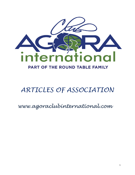

# *ARTICLES OF ASSOCIATION*

*www.agoraclubinternational.com*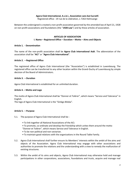## **Agora Club International, A.s.b.l., Association sans but lucratif.**

Registered office : 19 rue de la Libération, L-7263 Helmsange

Between the undersigned is created a non-profit association governed by the amended law of April 21, 1928 on non-profit associations and foundations (the "**1928 Law**") and by these articles of association.

## **ARTICLES OF ASSOCIATION I. Name – Registered Office – Duration – Motto – Aims and Objects**

#### **Article 1. - Denomination**

The name of the non-profit association shall be **Agora Club International Asbl**. The abbreviation of the association shall be "**ACI**" or "**Agora Club International**".

#### **Article 2. – Registered Office**

The registered office of Agora Club International (the "Association") is established in Luxembourg. The registered office can be transferred to any other location within the Grand-Duchy of Luxembourg by simple decision of the Board of Administrators.

#### **Article 3. – Duration**

Agora Club International is established for an unlimited duration.

#### **Article 4. – Motto and Logo**

The motto of Agora Club International shall be "Donner et Tolérer", which means "Service and Tolerance" in English.

The logo of Agora Club International is the "Ginkgo Biloba".

#### **Article 5. – Purpose**

- 5.1. The purpose of Agora Club International shall be :
	- To link together all National Associations of the ACI.
	- To promote, co-ordinate and develop the friendship which unites them around the motto
	- "Donner et Tolérer", which means Service and Tolerance in English.
	- To be non-political and non-sectarian.
	- To maintain good relations with the organizations in the Round Table Family.
- 5.2. Agora Club International shall further ensure its Members' interests within the ambit of the aims and objects of the Association. Agora Club International may engage with other associations and authorities to promote the relations and the understanding with a view to remedy the malfunction of existing structures.
- 5.3. Within the ambit of its aims and objects, Agora Club International may otherwise hold and manage participations in other corporations, associations, foundations and trusts, acquire and manage real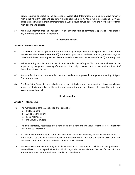estate required or useful to the operation of Agora Club International, remaining always however within the relevant legal and regulatory limits applicable to it. Agora Club International may also associate itself with other similar institutions in Luxembourg as well as around the world in accordance with its aims and objects.

5.4. Agora Club International shall neither carry out any industrial or commercial operations, nor procure any monetary benefits to its members.

## **II. Internal Rule Books**

## **Article 6.** - **Internal Rule Books**

- 6.1. The present articles of Agora Club International may be supplemented by specific rule books of the Association (the "**Internal Rule Book**"), for which a publication in the Luxembourg Business Register ("**LBS**") and the Luxembourg *Recueil électronique des sociétés et associations* ("**RESA**") is not required.
- 6.2. Before entering into force, each specific internal rule book of Agora Club International needs to be approved by the general meeting of the Association, duly convened in accordance with article 15 of the articles of association.
- 6.3. Any modification of an internal rule book also needs prior approval by the general meeting of Agora Club International.
- 6.4. The Association's specific internal rule books may not deviate from the present articles of association. In case of deviation between the articles of association and an internal rule book, the articles of association will prevail.

#### **III. Membership**

#### **Article 7. – Membership**

- 7.1. The membership of the Association shall consist of:
	- a) Full Members,
	- b) Associate Members,
	- c) Local Members,
	- d) Individual Members.
- 7.2. The Full Members, Associated Members, Local Members and Individual Members are collectively referred to as "**Members**".
- 7.3. Full Members are those Agora national associations situated in a country, which has minimum two (2) Agora Clubs, has elected a National Board and accepted the Association's articles of association and the Internal Rule Book as more fully described in article 8 below.
- 7.4. Associate Members are those Agora Clubs situated in a country which, while not having elected a national board, has accepted, either individually or jointly, the Association's Articles of Association and Internal Rule Book, as more fully described in article 9 below.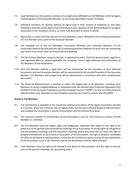- 7.5. Local Members are the women, members of an Agora club affiliated to a Full Member and of an Agora Club being part of the Associate Member, as more fully described in article 10 below.
- 7.6. Individual members are women without an Agora Club in their country of residence or near their hometown and who joined Agora Club International upon approval of the National Board of an Agora association in her residence country, as more fully described in article 11 below.
- 7.7. Agora Club is a local club that consists of Local Members, and is affiliated to the national associations of a Full Member and is part of the Associate Member.
- 7.8. The complete list of the Full Members, Associated Members and Individual Members of the Association needs to be filed with the LBS (Luxembourg Business Register) at least once per accounting year within one month after the Annual General Meeting.
- 7.9. The list of these Members needs to include, in alphabetical order, their full denomination, legal form and registered office or, where applicable, the surnames, names, legal addresses and nationalities of the Members of the Association.
- 7.10. Each Full Member without a legal form will be represented by the President of their National Association and each Associate Member will be represented by the elected President of the Associate Member. Full Members with a legal form will be represented in accordance with their constitutional documents.
- 7.11. The Board of Administrators is entitled to collect the digital data of all Members, including Local Members to create a digital database in compliance with the General Data Protection Regulation (EU) 2016/679 of the European Parliament and the European Council ("GDPR"), for the use of the Board of Administrators only. Members of non-European countries also need to comply with the GDPR.

#### **Article 8. Full Members**

- 8.1. Full membership is awarded to the respective national associations of the Agora association situated in a country, which has minimum two (2) Agora Clubs, has elected a national Board of Administrators and accepted the Association's articles of association and the Internal Rule Book.
- 8.2. The minimum number of Full Members of the Association is two (2). The maximum number of (Full) Members is unlimited.
- 8.3. The Full Members have the largest rights and obligations, especially with regard to the right to be present or at the general and extraordinary meetings of the Association, to voting rights for the general and extraordinary meetings and the Councillors meetings where they have two (2) votes, the right to propose amendments to the articles of association of the Association, the right to propose candidates for office at the Board of Administrators, to host the ACI Conference and to receive all correspondence of the Association (such as ACI Directory and all ACI Newsletters and ACI AGM minutes).
- 8.4. Their Members have the right to be elected to the Board of Administrators and the right to consult, prior to the general meetings, the accounting books.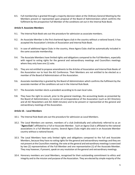8.5. Full membership is granted through a majority decision taken at the Ordinary General Meeting by the Members present or represented upon proposal of the Board of Administrators which confirms the fulfilment by the prospective Full Member of the conditions set out in the Internal Rule Book.

## **Article 9. Associate Members**

- 9.1. The Internal Rule Book sets out the procedure for admission as associate members.
- 9.2. An Associate Member is the first chartered Agora club in the country without a national board; it has accepted the Association's Articles of Association and Internal Rule Book.
- 9.3. In case of additional Agora Clubs in the country, these Agora Clubs shall be automatically included in the same associate membership.
- 9.4. The Associate Members have limited rights and obligations compared to the Full Members, especially with regard to voting rights for the general and extraordinary meetings and Councillors meetings where they only have one (1) vote.
- 9.5. They are not entitled to propose amendments to the Articles of Association and Internal Rule Books of the Association nor to host the ACI Conference. Their Members are not entitled to be elected as a member of the Board of Administrators of the Association.
- 9.6. Associate membership is granted by the Board of Administrators which confirms the fulfilment by the associate member of the conditions set out in the Internal Rule Book.
- 9.7. The Associate member elects a president according to its own local rules.
- 9.8. They have the right to consult, prior to the general meetings, the accounting books as presented by the Board of Administrators, to receive all correspondence of the Association (such as ACI Directory and all ACI Newsletters and ACI AGM minutes) and to be present or represented at the general and extraordinary meetings of the Association.

#### **Article 10. - Local Members**

- 10.1. The Internal Rule Book sets out the procedure for admission as Local Members.
- 10.2. The Local Members are women, members of a club (individually and collectively referred to as an "**Agora Club**") affiliated to a Full or Associate Member. Such an Agora Club is affiliated to the national associations in a Full Member country. Several Agora Clubs might also exist in an Associate Member country without a national board.
- 10.3. The Local Members have only limited rights and obligations compared to the Full and Associate Members, because they have no voting rights for the general and extraordinary meetings and they are not present at the Councillors meeting; the vote at the general and extraordinary meetings is exercised by two (2) representatives of the Full Member and one representative (1) of the Associate Member. They may however, if present, speak on any resolution at the general and extraordinary meetings.
- 10.4. Honorary members are Local Members, recognised for their outstanding commitment to ethics and integrity and to the mission and purpose of the Association. They are elected by simple majority of the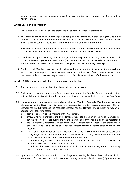general meeting, by the members present or represented upon proposal of the Board of Administrators.

## **Article 11. - Individual Member**

- 11.1. The Internal Rule Book sets out the procedure for admission as individual members.
- 11.2. An "individual member" is a woman (past or non-past Circle member), without an Agora Club in her residence country or near her hometown and who joined the Association. In case of a National Board in her residence country, the approval of her country's National Board is required.
- 11.3. Individual membership is granted by the Board of Administrators which confirms the fulfilment by the prospective individual member of the conditions set out in the Internal Rule Book.
- 11.4. They have the right to consult, prior to the general meetings, the accounting books, to receive all correspondence of Agora Club International (such as ACI Directory, all ACI Newsletters and ACI AGM minutes) and to be present or represented at the general and extraordinary meetings.
- 11.5. The Individual Members pay membership dues and are not entitled to vote on the general and extraordinary meetings, to propose any amendments to the Association's Articles of Association and the internal Rule Book nor are they allowed to stand for office on the Board of Administrators.

#### **Article 12. Withdrawal and exclusion – termination of membership**

- 12.1. A Member loses its membership either by withdrawal or exclusion.
- 12.2. A Member withdrawing from Agora Club International informs the Board of Administrators in writing of its withdrawal decision in line with the procedure foreseen to such effect in the Internal Rule Book.
- 12.3. The general meeting decides on the exclusion of a Full Member, Associate Member and Individual Member by two-third (2/3) majority vote of the voting rights present or represented, whereby the Full Member has two (2) votes and the Associate Member has one (1) vote. The exclusion might only be decided in the following cases:
	- a) activities contrary to the interests of the Association,
	- b) through its/her behaviour, the Full Member, Associate Member or Individual Member has seriously harmed or is seriously harming the interests and/or the reputation of the Association,
	- c) the Full Member, Associate Member or Individual Member does not respect the provisions set out in the Association's Articles of association, respectively the decisions taken by the general meeting,
	- d) alteration or modification of the Full Member's or Associate Member's Articles of Association, if any, and/or of their Internal Rule Books, in such a way that they become incompatible with the Association's Articles of Association and Internal Rule Books.
	- e) the Full Member, Associate Member or Individual Member does not respect the provisions set out in the Association's Internal Rule Books and
	- f) the Full Member, Associate Member or Individual Member does not pay its/her membership dues by the end of June prior to the ACI AGM.
- 12.4. Upon proposal of the Board of Administrators, the general meeting decides on the withdrawal of a Full Membership for the reason that a Full Member country remains only with two (2) Agora Clubs for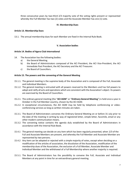three consecutive years by two-third 2/3 majority vote of the voting rights present or represented whereby the Full Member has two (2) votes and the Associate Member has one (1) vote.

# **IV. Membership Dues**

## **Article 13. Membership Dues**

13.1. The annual membership dues for each Member are fixed in the Internal Rule Book.

## **V. Association bodies**

## **Article 14. Bodies of Agora Club International**

- 14. The Association has the following bodies:
	- a) the General Meeting.
	- b) the Board of Administrators composed of the ACI President, the ACI Vice-President, the ACI Immediate Past President, the ACI Secretary and the ACI Treasurer.
	- c) the Board of Councillors.

## **Article 15. The powers and the convening of the General Meeting**

- 15.1.1. The general meeting is the supreme body of the Association and is composed of the Full, Associate and Individual Members.
- 15.1.2. The general meeting is entrusted with all powers reserved to the Members and has full powers to adopt and ratify all acts and operations which are consistent with the Association's object. Its powers are exercised by the Board of Councillors.
- 15.2.1. The ordinary general meeting (the "**ACI AGM**" or "**Ordinary General Meeting**") is held once a year in October in the Full Member country, chosen by the ACI AGM.
- 15.2.2. In exceptional circumstances, the ACI AGM may be held by telephone conferencing or videoconferencing services as long as written minutes are taken.
- 15.3.1. The Board of Administrators convenes the Ordinary General Meeting on or before 31 July prior to the date of the meeting in writing by way of registered letter, simple letter, facsimile, email or any other modern communication means.
- 15.3.2. The convening notice contains the agenda duly established by the Board of Administrators in accordance with the Internal Rule Book.
- 15.4.1 The general meeting can decide on any item which has been regularly presented, when 2/3 of the Full and Associate Members are present, and whereby the Full Member and Associate Member are represented by two persons.
- 15.4.2 Any item can be adopted or rejected with a simple majority of votes, except when deciding on a modification of the articles of association, the dissolution of the Association, modification of the membership dues of the Association, the exclusion of a Full Member, Associate Member and Individual Member and the withdrawal of a Full Membership where another majority is required.
- 15.5.1. The Board of Administrators has the possibility to convene the Full, Associate and Individual Members at any point in time for an extraordinary general meeting.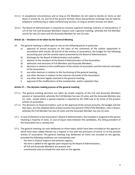- 15.5.2. In exceptional circumstances and as long as the Members do not need to decide on items as laid down in article 26, 32, and 33 of the present Articles, these extraordinary meetings may be held by telephone conferencing or video-conferencing services, as long as written minutes are taken.
- 15.6.1. The Board of Administrators is required to convene a general meeting, ordinary or extraordinary, if 1/5 of the Full and Associate Members request such a general meeting, whereby the Full Member counts for two (2) votes and the Associate Member for one (1) vote.

# **Article 16. – Decisions to be taken by the General Meeting**

- 16. The general meeting is called upon to rule on the following points in particular:
	- a) approval of annual accounts on the basis of the comments of the auditor (appointed in accordance with articles 28 and 30 of the articles of association), the budget for the following accounting year and the activity report presented by the Board of Administrators,
	- b) discharge for the Board of Administrators and auditor,
	- c) election of the members of the Board of Administrators of the Association,
	- d) admission and exclusion of Full Members and Associate Members,
	- e) decisions in relation to the modification of the articles of association and the internal rule books of the Association,
	- f) any other decision in relation to the functioning of the general meeting,
	- g) any other decision in relation to the internal rule books of the Association,
	- h) any other decision legally reserved to the general meeting,
	- i) approval of the modifications of the membership- and/or capitation fees.

## **Article 17. – The decision-making process of the general meeting**

- 17.1.1. The general meeting decisions are taken by simple majority of the Full and Associate Members present or represented, whereby the Full Member has two (2) votes and the Associate Member one (1) vote, except where a special majority is required by the 1928 Law or by virtue of the present articles of association.
- 17.1.2. The decisions on financial matters, such as the approval of the annual accounts, the budget and the fees dues, are only adopted when at least seventy-five percent (75%) of the Members, vote in favour, whereby the Full Member has two (2) votes and the Associate Member has one (1) vote..
- 17.2 In case of elections to the Association's Board of Administrators, the mandate is assigned to the person receiving a majority of votes. In case of equal votes between the candidates, the sitting president of the Association has a casting vote.
- 17.3 The general meeting can only deliberate on those topics which have been included on the agenda or which have been added thereto via a request in line with the provisions of article 15 of the present articles of association. The general meeting may deliberate on items not included on the agenda, provided the following conditions are cumulatively met:
	- the item is of *force majeure* and extreme urgency,
	- the item is added to the agenda upon request by the Board of Administrators,
	- all Full and Associate Members are present and
	- unanimously vote to include the new item on the agenda.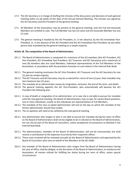- 17.4 The ACI Secretary is in charge of drafting the minutes of the discussions and decisions of each general meeting within six (6) weeks of the date of the Annual General Meeting. The minutes are signed by the ACI Secretary and the President of the general meeting.
- 17.5 All Members of the Association may be present at the general meeting; only the Full and Associate Members are entitled to vote. The Full Member has two (2) votes and the Associate Member has one (1) vote.
- 17.6 The general meeting is headed by the ACI President, or, in her absence, by the ACI Immediate Past-President, or, in the absence of the ACI President and the ACI Immediate Past-President, by any other person duly mandated by the general meeting on a simple majority.

#### **Article 18. The composition of the Board of Administrators**

- 18.1.1 The Board of Administrators is composed of a minimum of five (5) members (the ACI President, ACI Vice President, ACI Immediate Past President, ACI Treasurer and ACI Secretary) and a maximum of nine (9) members who are Local Members, individual representatives of the Full Members of the Association, in accordance with the procedure foreseen to such extent in the Internal Rule Book.
- 18.2.1. The general meeting nominates the ACI Vice President, ACI Treasurer and the ACI Secretary for one (1) year by simple majority.
- 18.2.2. The ACI Treasurer and ACI Secretary may be re-elected for a term of one (1) year; their mandate may last maximum two (2) years.
- 18.2.3. The mandate of an administrator ceases by resignation, exclusion, the end of the term, and death.
- 18.2.4. The general meeting appoints the ACI Vice-President, who automatically will become the ACI President the following year.
- 18.3.1. In case of death or resignation of an administrator, or in case she is not able to pursue her mandate until the next general meeting, the Board of Administrators may co-opt, for vacant Board positions, one or more individuals, insofar as the individuals are representatives of Full Members.
- 18.3.2. The mandate of the new co-opted administrator will end on the day on which the mandate of the former administrator should have ended.
- 18.3.3. The co-optation will need to be ratified by the next general meeting.
- 18.4.1. Any administrator who resigns or who is not able to pursue her mandate during her years of office on the Board of Administrators shall not be eligible to be re-elected on the Board of Administrators, nor can she be part of the Board of Councillors, unless exceptional circumstances as detailed in the Internal Rule Book.
- 18.5.1. The Administrators, members of the Board of Administrators, will not be remunerated, but shall receive a contribution to the expenses incurred by their respective offices.
- 18.5.2. These sums involved will be reviewed annually by the Board of Administrators and approved by the Board of Councillors who vote on behalf of the Members at the ACI AGM.
- 18.6.1. Any member of the Board of Administrators who resigns from the Board of Administrators during her year of office, shall be obliged, at the discretion of the Board of Administrators, to reimburse the Association, all monies utilized for fulfilling her duties during her term of office, unless special circumstances.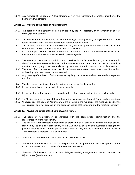18.7.1. Any member of the Board of Administrators may only be represented by another member of the Board of Administrators.

## **Article 19. – Meeting of the Board of Administrators**

- 19.1.1. The Board of Administrators meets on invitation by the ACI President, or on invitation by at least three (3) administrators.
- 19.2.1. The administrators are invited to the Board meeting in writing, by way of registered letter, simple letter, facsimile, email or any other modern communication means.
- 19.2.2. The meeting of the Board of Administrators may be held by telephone conferencing or videoconferencing services as long as written minutes are taken.
- 19.2.3. It is further possible for decisions of the Board of Administrators to be taken by electronic means insofar as each administrator has received a precise agenda.
- 19.3.1. The meeting of the Board of Administrators is presided by the ACI President and, in her absence, by the ACI Immediate Past-President, or, in the absence of the ACI President and the ACI Immediate Past-President, by any other person elected by the Board of Administrators on a simple majority.
- 19.3.2. The Board of Administrators can only validly deliberate to the extent that at least three (3) members with voting rights are present or represented.
- 19.3.3. Any meeting of the Board of Administrators regularly convened can take all required management decisions.
- 19.4.1. The decisions of the Board of Administrators are taken by simple majority.
- 19.4.2. In case of equal votes, the president's vote prevails.
- 19.5.1. In case an item of the agenda has been refused, the item may be included in the next agenda.
- 19.6.1. The ACI Secretary is in charge of the drafting of the minutes of the Board of Administrators meetings.
- 19.6.2. All decisions of the Board of Administrators are included in the minutes of the meeting signed by the ACI President or in her absence, by the person in charge of the meeting and the meeting secretary.

#### **Article 20. - Powers and duties of the Board of Administrators**

- 20.1.1. The Board of Administrators is entrusted with the coordination, administration and the representation of the Association.
- 20.1.2. The Board of Administrators is mandated to proceed with all acts of management which are not reserved by the articles of association, by the 1928 law, by decision of the general meeting to the general meeting or to another person which may or may not be a member of the Board of Administrators, a representative or employee.
- 20.2. The Board of Administrators represents the Association in court.
- 20.3. The Board of Administrators shall be responsible for the promotion and development of the Association and shall act on behalf of the Board of Councillors.
- 20.4. The Board of Administrators may decide to delegate the daily management of the Association to one (1) max three (3) administrators.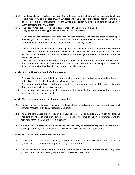- 20.5.1. The Board of Administrators may appoint an unlimited number of administrative assistants who are directly reporting to the Board of Administrators and who assist in the different administrative tasks required for a better management of the Association (jointly with the members of the Board of Administrators, the "**ACI Officer**").
- 20.5.2. The appointment process is done in accordance with the Internal Rule Book.
- 20.5.3. They do not have a voting power within the Board of Administrators.
- 20.6.1 The Board of Administrators will submit to the general meeting, each year, the accounts for the past financial year on the basis of the comments of the auditor (appointed in accordance with article 30) and the budget for the next financial year, as well as its activity report.
- 20.7.1. The Association will be bound by the joint signature of two administrators, members of the Board of Administrators, amongst whom the ACI President. For all financial matters, including the operation of bank accounts, the Association will be bound by the sole signature either of the ACI President or the ACI Treasurer.
- 20.7.2. The Association might be bound by the joint signature of two administrators whereby the ACI President is replaced by another member of the Board of Administrators in exceptional cases only, in accordance with the rules laid down in the Internal Rule Book.

## **Article 21. – Liability of the Board of Administrators**

- 21.1. The Association is responsible, in accordance with common law, for faults attributable either to its officials or to the bodies through which its power is exercised.
- 21.2. The members of the Board of Administrators do not contract any personal obligation in relation to the commitments from the Association.
- 21.3. Their responsibility is limited to the execution of the mandate they have received and to gross negligence in their management.

#### **Article 22. - The Composition of the Board of Councillors**

- 22.1 The Board of Councillors is composed of the Board of Administrators and two representatives of each Member Association (Full and Associate Members).
- 22.2 The Councillors Meeting is attended by two Councillors per Full and Associate Member (the National President and the National Immediate Past President at the time of the ACI Conference), and the nominees for the next Board of Administrators.
- 22.3. If a councillor is unable to attend this councillor's Meeting, an accredited deputy may attend in her place, appointed by the National Board of the Full or Associate Member Associations.

#### **Article 23. - The meeting of the Board of Councillors**

- 23.1 The Board of Councillors meets once a year in the place where the ACI AGM takes place, on invitation by the Board of Administrators, represented by its ACI President.
- 23.2 The Councillors are invited to the Councillors meeting by way of simple letter, email or any other modern communication means, to the extent it leaves a written trace.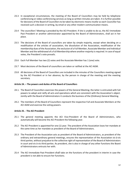- 23.3 In exceptional circumstances, the meeting of the Board of Councillors may be held by telephone conferencing or video-conferencing services as long as written minutes are taken. It is further possible for decisions of the Board of Councillors to be taken by electronic means insofar as each Councillor has received such a decision in writing, by email or any other modern communication means.
- 23.4 The councillors' Meeting is presided by the ACI President. If she is unable to do so, the ACI Immediate Past President or another administrator appointed by the Board of Administrators, shall act in her place.
- 23.5 The decisions of the Board of councillors are taken by simple majority, except when deciding on a modification of the articles of association, the dissolution of the Association, modification of the membership dues of the Association, the exclusion of a Full Member, Associate Member and Individual Member and the withdrawal of a Full Membership where another majority is required. In case of equal votes, the President's vote prevails.
- 23.6 Each Full Member has two (2) votes and the Associate Member has 1 (one) vote.
- 23.7 Most decisions of the Board of councillors are taken or ratified at the ACI AGM.
- 23.8 All decisions of the Board of Councillors are included in the minutes of the Councillors meeting signed by the ACI President or in her absence, by the person in charge of the meeting and the meeting secretary.

#### **Article 24. – The powers and duties of the Board of Councillors**

- 24.1. The Board of Councillors exercises the powers of the General Meeting; the latter is entrusted with full powers to adopt and ratify all acts and operations which are consistent with the Association's object. Jointly with the Board of Administrators it conducts the business of the (Ordinary) General Meeting.
- 24.2. The members of the Board of Councillors represent the respective Full and Associate Members at the ACI AGM and exercise the voting powers.

# **Article 25. - The ACI President**

- 25.1 The general meeting appoints the ACI Vice-President of the Board of Administrators, who automatically will become the ACI President the following year.
- 25.2 The ACI President is appointed for one (1) year. The president of the Association loses her mandate at the same time as her mandate as president of the Board of Administrators.
- 25.3 The President of the Association acts as president of the Board of Administrators, as president of the ordinary and extraordinary general meetings, ensures the representation of the Association vis-à-vis third parties, without prejudice to the collective right of representation of the Board of Administrators in court and vis-à-vis third parties. As president, she is also in charge of any other functions the Board of Administrators entrusts her with.
- 25.4 The ACI Immediate Past President shall take on the functions of the president in interim in case the president is not able to ensure her functions.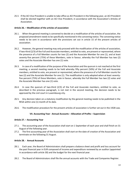25.5 If the ACI Vice President is unable to take office as ACI President in the following year, an ACI President shall be elected together with an ACI Vice President, in accordance with the Association's Articles of Association.

## **Article 26. – Modification of the articles of association**

- 26.1. When the general meeting is convened to decide on a modification of the articles of association, the proposed amendment needs to be specifically mentioned in the convening notice. The convening notice needs to be sent in accordance with the provisions set out in article 15 of the present articles of association.
- 26.2. However, the general meeting may only proceed with the modification of the articles of association, if two-third (2/3) of the Full and Associate members, entitled to vote, are present or represented, where the presence of a Full Member counts for two (2) and the Associate Member for one (1), and at least seventy-five percent (75%) of these Members, vote in favour, whereby the Full Member has two (2) votes and the Associate Member has one (1) vote.
- 26.3. In case of a modification of the purpose of the Association and the quorum is not reached at the first meeting, a second meeting needs to be held whereby fifty percent (50%) of the Full and Associate members, entitled to vote, are present or represented, where the presence of a Full Member counts for two (2) and the Associate Member for one (1). The modification is only adopted when at least seventyfive percent (75%) of these Members, vote in favour, whereby the Full Member has two (2) votes and the Associate Member has one (1) vote.
- 26.4. In case the quorum of two-third (2/3) of the Full and Associate members, entitled to vote, as described in the previous paragraph, is not met in the second meeting, the decision needs to be approved by the civil court in Luxembourg-city.
- 26.5. Any decision taken on a statutory modification by the general meeting needs to be published in the RESA within one (1) month of its date.
- 26.6. The modification procedure for the present articles of association is further set out in the 1928 Law.

#### **VII. Accounting Year - Annual Accounts – Allocation of Profits – Supervision**

#### **Article 27. – Accounting Year**

- 27.1. The accounting year of the Association shall start on 1 September of each year and shall finish on 31 August of the following year.
- 27.2. The first accounting year of the Association shall start on the date of creation of the Association and terminate on the following 31 August.

#### **Article 28. - Annual Accounts**

- 28.1. Each year, the Board of Administrators shall prepare a balance sheet and profit and loss account for the past financial year in EUR composed of income and expenditure reviewed by an auditor (appointed in accordance with article 30) and the budget for the next financial year.
- 28.2. The Board of Administrators shall file the annual accounts with the Trade and Companies Register.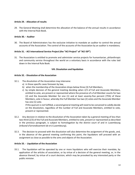## **Article 29. - Allocation of results**

29. The General Meeting shall determine the allocation of the balance of the annual results in accordance with the Internal Rule Book.

## **Article 30.** – **Auditor**

30. The Board of Administrators has the exclusive initiative to mandate an auditor to control the annual accounts of the Association. The control of the accounts of the Association by an auditor is mandatory.

## **Article 31. - ACI International Service Project (the "ACI Project" of "ACI ISP")**

31. The Association is entitled to promote and administer service projects for humanitarian, philanthropic and community service throughout the world on a voluntary basis in accordance with the rules laid down in the Internal Rule Book.

#### **VIII. Dissolution and liquidation**

#### **Article 32. - Dissolution of the Association**

- 32.1. The dissolution of the Association may intervene:
	- a) in those specific cases foreseen by law,
	- b) when the membership of the Association drops below three (3) Full Members,
	- c) by simple decision of the general meeting deciding when 2/3 of Full and Associate Members, entitled to vote, are present or represented where the presence of a Full Member counts for two (2) and the Associate Member for one (1) and at least seventy-five percent (75%) of these Members, vote in favour, whereby the Full Member has two (2) votes and the Associate Member has one (1) vote.

If this quorum is not fulfilled, a second general meeting will need to be convened to validly decide on the dissolution, regardless of the number of Full and Associate Members, entitled to vote, present or represented.

- 32.2. Any decision in relation to the dissolution of the Association taken by a general meeting of less than two-third (2/3) of the Full and Associate Members, entitled to vote, present or represented as described in the previous paragraph, is subject to homologation by the district court of and in Luxembourg (*tribunal d'arrondissement de et à Luxembourg*).
- 32.3. The decision to proceed with the dissolution will also determine the assignment of the goods, and, in the absence of the general meeting confirming this point, the liquidators will proceed with an assignment as close as possible to the aims and objects of the Association.

# **Article 33. - Liquidation of the Association**

33.1. The liquidation will be operated by one or more liquidators who will exercise their mandate, by application of the articles of association, or by virtue of a decision of the general meeting, or, in the absence thereof, by virtue of a court decision, which may be provoked by any interested party or the public minister.